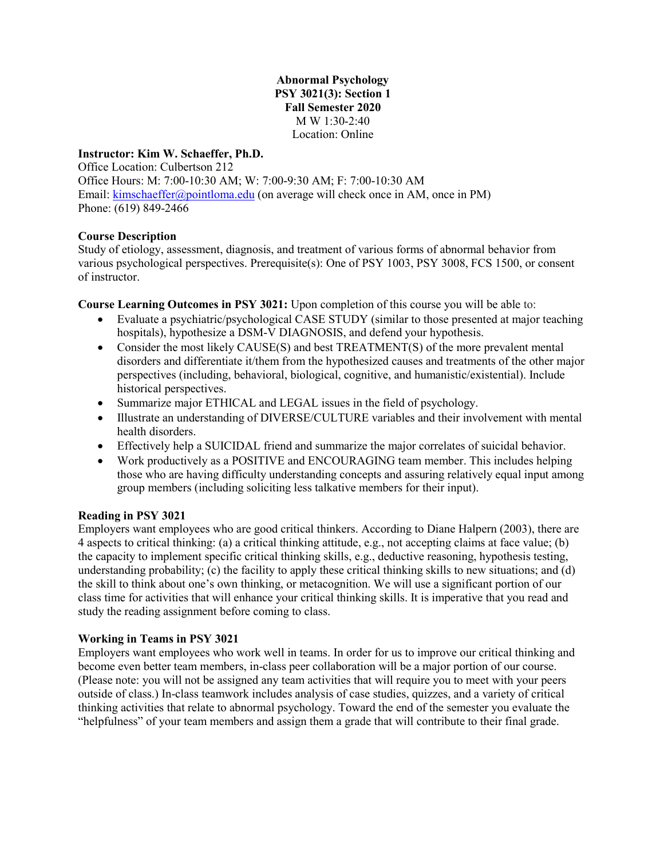**Abnormal Psychology PSY 3021(3): Section 1 Fall Semester 2020** M W 1:30-2:40 Location: Online

### **Instructor: Kim W. Schaeffer, Ph.D.**

Office Location: Culbertson 212 Office Hours: M: 7:00-10:30 AM; W: 7:00-9:30 AM; F: 7:00-10:30 AM Email: [kimschaeffer@pointloma.edu](mailto:kimschaeffer@pointloma.edu) (on average will check once in AM, once in PM) Phone: (619) 849-2466

### **Course Description**

Study of etiology, assessment, diagnosis, and treatment of various forms of abnormal behavior from various psychological perspectives. Prerequisite(s): One of PSY 1003, PSY 3008, FCS 1500, or consent of instructor.

**Course Learning Outcomes in PSY 3021:** Upon completion of this course you will be able to:

- Evaluate a psychiatric/psychological CASE STUDY (similar to those presented at major teaching hospitals), hypothesize a DSM-V DIAGNOSIS, and defend your hypothesis.
- Consider the most likely CAUSE(S) and best TREATMENT(S) of the more prevalent mental disorders and differentiate it/them from the hypothesized causes and treatments of the other major perspectives (including, behavioral, biological, cognitive, and humanistic/existential). Include historical perspectives.
- Summarize major ETHICAL and LEGAL issues in the field of psychology.
- Illustrate an understanding of DIVERSE/CULTURE variables and their involvement with mental health disorders.
- Effectively help a SUICIDAL friend and summarize the major correlates of suicidal behavior.
- Work productively as a POSITIVE and ENCOURAGING team member. This includes helping those who are having difficulty understanding concepts and assuring relatively equal input among group members (including soliciting less talkative members for their input).

### **Reading in PSY 3021**

Employers want employees who are good critical thinkers. According to Diane Halpern (2003), there are 4 aspects to critical thinking: (a) a critical thinking attitude, e.g., not accepting claims at face value; (b) the capacity to implement specific critical thinking skills, e.g., deductive reasoning, hypothesis testing, understanding probability; (c) the facility to apply these critical thinking skills to new situations; and (d) the skill to think about one's own thinking, or metacognition. We will use a significant portion of our class time for activities that will enhance your critical thinking skills. It is imperative that you read and study the reading assignment before coming to class.

### **Working in Teams in PSY 3021**

Employers want employees who work well in teams. In order for us to improve our critical thinking and become even better team members, in-class peer collaboration will be a major portion of our course. (Please note: you will not be assigned any team activities that will require you to meet with your peers outside of class.) In-class teamwork includes analysis of case studies, quizzes, and a variety of critical thinking activities that relate to abnormal psychology. Toward the end of the semester you evaluate the "helpfulness" of your team members and assign them a grade that will contribute to their final grade.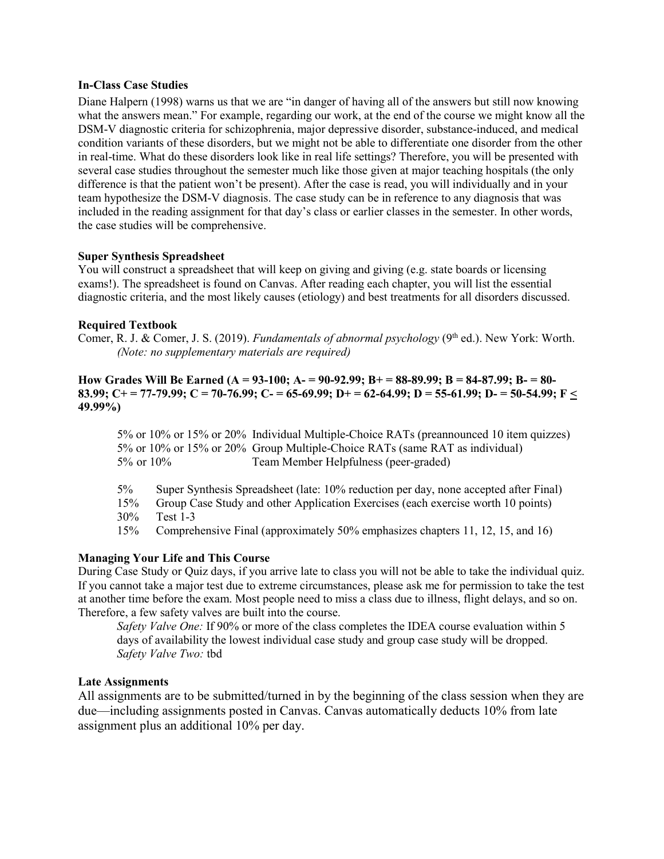### **In-Class Case Studies**

Diane Halpern (1998) warns us that we are "in danger of having all of the answers but still now knowing what the answers mean." For example, regarding our work, at the end of the course we might know all the DSM-V diagnostic criteria for schizophrenia, major depressive disorder, substance-induced, and medical condition variants of these disorders, but we might not be able to differentiate one disorder from the other in real-time. What do these disorders look like in real life settings? Therefore, you will be presented with several case studies throughout the semester much like those given at major teaching hospitals (the only difference is that the patient won't be present). After the case is read, you will individually and in your team hypothesize the DSM-V diagnosis. The case study can be in reference to any diagnosis that was included in the reading assignment for that day's class or earlier classes in the semester. In other words, the case studies will be comprehensive.

### **Super Synthesis Spreadsheet**

You will construct a spreadsheet that will keep on giving and giving (e.g. state boards or licensing exams!). The spreadsheet is found on Canvas. After reading each chapter, you will list the essential diagnostic criteria, and the most likely causes (etiology) and best treatments for all disorders discussed.

### **Required Textbook**

Comer, R. J. & Comer, J. S. (2019). *Fundamentals of abnormal psychology* (9<sup>th</sup> ed.). New York: Worth. *(Note: no supplementary materials are required)*

### **How Grades Will Be Earned (A = 93-100; A- = 90-92.99; B+ = 88-89.99; B = 84-87.99; B- = 80- 83.99; C+ = 77-79.99; C = 70-76.99; C- = 65-69.99; D+ = 62-64.99; D = 55-61.99; D- = 50-54.99; F < 49.99%)**

5% or 10% or 15% or 20% Individual Multiple-Choice RATs (preannounced 10 item quizzes) 5% or 10% or 15% or 20% Group Multiple-Choice RATs (same RAT as individual) 5% or 10% Team Member Helpfulness (peer-graded)

- 5% Super Synthesis Spreadsheet (late: 10% reduction per day, none accepted after Final)
- 15% Group Case Study and other Application Exercises (each exercise worth 10 points)
- 30% Test 1-3

15% Comprehensive Final (approximately 50% emphasizes chapters 11, 12, 15, and 16)

### **Managing Your Life and This Course**

During Case Study or Quiz days, if you arrive late to class you will not be able to take the individual quiz. If you cannot take a major test due to extreme circumstances, please ask me for permission to take the test at another time before the exam. Most people need to miss a class due to illness, flight delays, and so on. Therefore, a few safety valves are built into the course.

*Safety Valve One:* If 90% or more of the class completes the IDEA course evaluation within 5 days of availability the lowest individual case study and group case study will be dropped. *Safety Valve Two:* tbd

### **Late Assignments**

All assignments are to be submitted/turned in by the beginning of the class session when they are due—including assignments posted in Canvas. Canvas automatically deducts 10% from late assignment plus an additional 10% per day.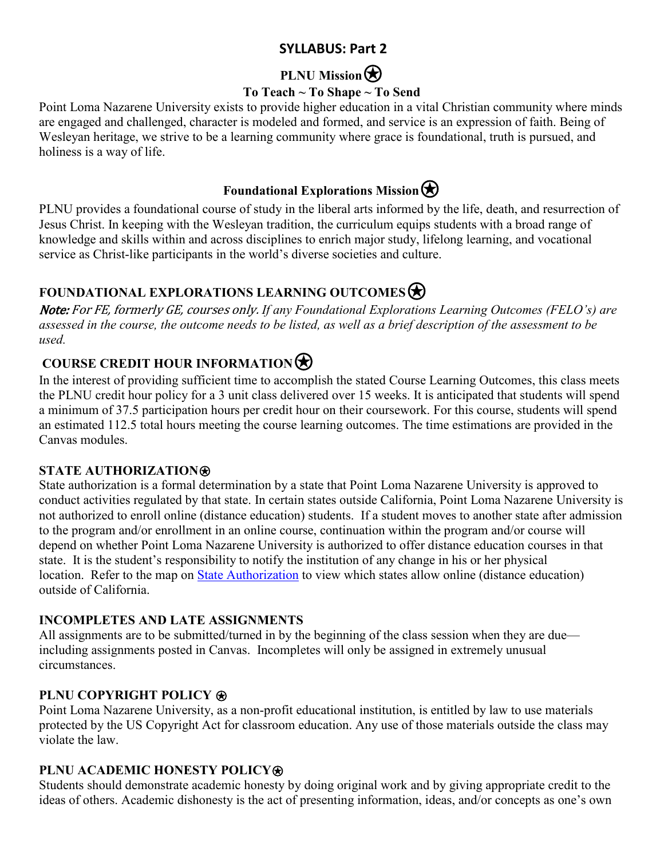## **SYLLABUS: Part 2**

# **PLNU Mission**

## **To Teach ~ To Shape ~ To Send**

Point Loma Nazarene University exists to provide higher education in a vital Christian community where minds are engaged and challenged, character is modeled and formed, and service is an expression of faith. Being of Wesleyan heritage, we strive to be a learning community where grace is foundational, truth is pursued, and holiness is a way of life.

## **Foundational Explorations Mission** $\bigotimes$

PLNU provides a foundational course of study in the liberal arts informed by the life, death, and resurrection of Jesus Christ. In keeping with the Wesleyan tradition, the curriculum equips students with a broad range of knowledge and skills within and across disciplines to enrich major study, lifelong learning, and vocational service as Christ-like participants in the world's diverse societies and culture.

**FOUNDATIONAL EXPLORATIONS LEARNING OUTCOMES**<br>*Note: For FE, formerly GE, courses only. If any Foundational Explorations Learning Outcomes (FELO's) are assessed in the course, the outcome needs to be listed, as well as a brief description of the assessment to be used.*

**COURSE CREDIT HOUR INFORMATION**<br>In the interest of providing sufficient time to accomplish the stated Course Learning Outcomes, this class meets the PLNU credit hour policy for a 3 unit class delivered over 15 weeks. It is anticipated that students will spend a minimum of 37.5 participation hours per credit hour on their coursework. For this course, students will spend an estimated 112.5 total hours meeting the course learning outcomes. The time estimations are provided in the Canvas modules.

## **STATE AUTHORIZATION**⍟

State authorization is a formal determination by a state that Point Loma Nazarene University is approved to conduct activities regulated by that state. In certain states outside California, Point Loma Nazarene University is not authorized to enroll online (distance education) students. If a student moves to another state after admission to the program and/or enrollment in an online course, continuation within the program and/or course will depend on whether Point Loma Nazarene University is authorized to offer distance education courses in that state. It is the student's responsibility to notify the institution of any change in his or her physical location. Refer to the map on [State Authorization](https://www.pointloma.edu/offices/office-institutional-effectiveness-research/disclosures) to view which states allow online (distance education) outside of California.

## **INCOMPLETES AND LATE ASSIGNMENTS**

All assignments are to be submitted/turned in by the beginning of the class session when they are due including assignments posted in Canvas. Incompletes will only be assigned in extremely unusual circumstances.

## **PLNU COPYRIGHT POLICY**  $\otimes$

Point Loma Nazarene University, as a non-profit educational institution, is entitled by law to use materials protected by the US Copyright Act for classroom education. Any use of those materials outside the class may violate the law.

## **PLNU ACADEMIC HONESTY POLICY®**

Students should demonstrate academic honesty by doing original work and by giving appropriate credit to the ideas of others. Academic dishonesty is the act of presenting information, ideas, and/or concepts as one's own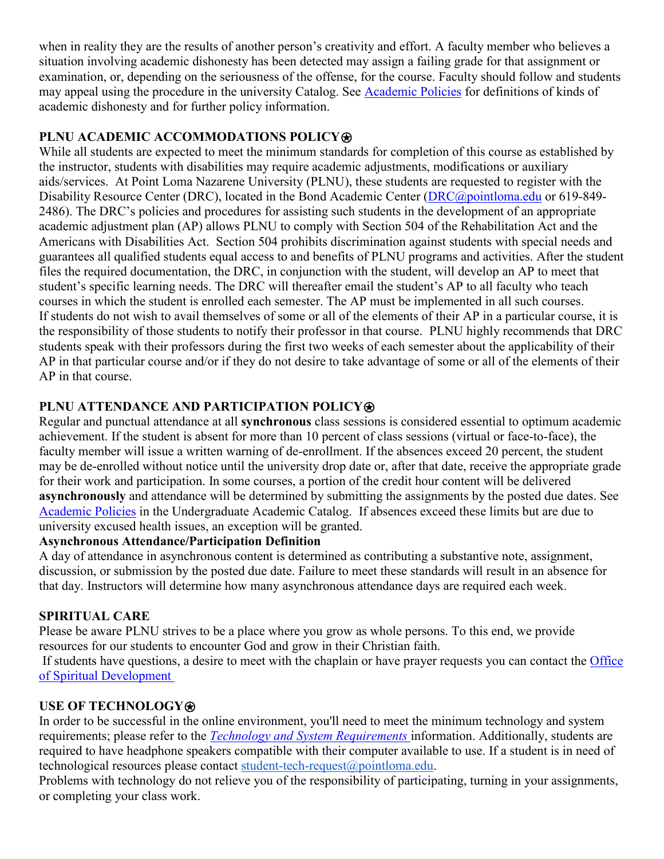when in reality they are the results of another person's creativity and effort. A faculty member who believes a situation involving academic dishonesty has been detected may assign a failing grade for that assignment or examination, or, depending on the seriousness of the offense, for the course. Faculty should follow and students may appeal using the procedure in the university Catalog. See [Academic Policies](https://catalog.pointloma.edu/content.php?catoid=41&navoid=2435#Academic_Honesty) for definitions of kinds of academic dishonesty and for further policy information.

### **PLNU ACADEMIC ACCOMMODATIONS POLICY<sup>®</sup>**

While all students are expected to meet the minimum standards for completion of this course as established by the instructor, students with disabilities may require academic adjustments, modifications or auxiliary aids/services. At Point Loma Nazarene University (PLNU), these students are requested to register with the Disability Resource Center (DRC), located in the Bond Academic Center [\(DRC@pointloma.edu](mailto:DRC@pointloma.edu) or 619-849-2486). The DRC's policies and procedures for assisting such students in the development of an appropriate academic adjustment plan (AP) allows PLNU to comply with Section 504 of the Rehabilitation Act and the Americans with Disabilities Act. Section 504 prohibits discrimination against students with special needs and guarantees all qualified students equal access to and benefits of PLNU programs and activities. After the student files the required documentation, the DRC, in conjunction with the student, will develop an AP to meet that student's specific learning needs. The DRC will thereafter email the student's AP to all faculty who teach courses in which the student is enrolled each semester. The AP must be implemented in all such courses. If students do not wish to avail themselves of some or all of the elements of their AP in a particular course, it is the responsibility of those students to notify their professor in that course. PLNU highly recommends that DRC students speak with their professors during the first two weeks of each semester about the applicability of their AP in that particular course and/or if they do not desire to take advantage of some or all of the elements of their AP in that course.

## **PLNU ATTENDANCE AND PARTICIPATION POLICY**⍟

Regular and punctual attendance at all **synchronous** class sessions is considered essential to optimum academic achievement. If the student is absent for more than 10 percent of class sessions (virtual or face-to-face), the faculty member will issue a written warning of de-enrollment. If the absences exceed 20 percent, the student may be de-enrolled without notice until the university drop date or, after that date, receive the appropriate grade for their work and participation. In some courses, a portion of the credit hour content will be delivered **asynchronously** and attendance will be determined by submitting the assignments by the posted due dates. See [Academic Policies](https://catalog.pointloma.edu/content.php?catoid=46&navoid=2650#Class_Attendance) in the Undergraduate Academic Catalog. If absences exceed these limits but are due to university excused health issues, an exception will be granted.

### **Asynchronous Attendance/Participation Definition**

A day of attendance in asynchronous content is determined as contributing a substantive note, assignment, discussion, or submission by the posted due date. Failure to meet these standards will result in an absence for that day. Instructors will determine how many asynchronous attendance days are required each week.

## **SPIRITUAL CARE**

Please be aware PLNU strives to be a place where you grow as whole persons. To this end, we provide resources for our students to encounter God and grow in their Christian faith.

If students have questions, a desire to meet with the chaplain or have prayer requests you can contact the Office [of Spiritual Development](https://www.pointloma.edu/offices/spiritual-development) 

## **USE OF TECHNOLOGY**⍟

In order to be successful in the online environment, you'll need to meet the minimum technology and system requirements; please refer to the *[Technology and System Requirements](https://help.pointloma.edu/TDClient/1808/Portal/KB/ArticleDet?ID=108349)* information. Additionally, students are required to have headphone speakers compatible with their computer available to use. If a student is in need of technological resources please contact [student-tech-request@pointloma.edu.](mailto:student-tech-request@pointloma.edu)

Problems with technology do not relieve you of the responsibility of participating, turning in your assignments, or completing your class work.